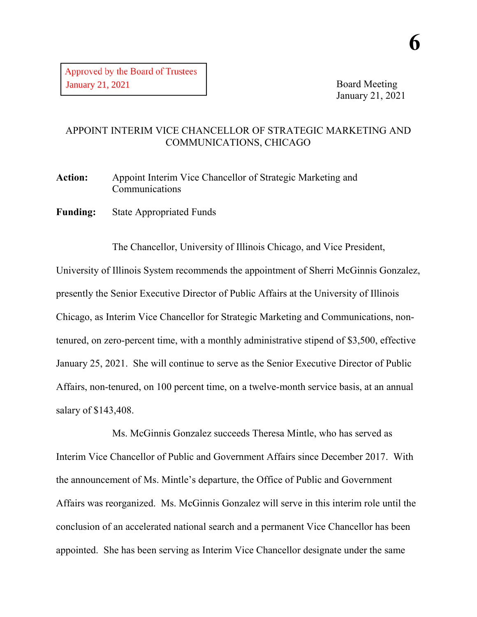Board Meeting January 21, 2021

## APPOINT INTERIM VICE CHANCELLOR OF STRATEGIC MARKETING AND COMMUNICATIONS, CHICAGO

**Action:** Appoint Interim Vice Chancellor of Strategic Marketing and Communications

**Funding:** State Appropriated Funds

The Chancellor, University of Illinois Chicago, and Vice President, University of Illinois System recommends the appointment of Sherri McGinnis Gonzalez, presently the Senior Executive Director of Public Affairs at the University of Illinois Chicago, as Interim Vice Chancellor for Strategic Marketing and Communications, nontenured, on zero-percent time, with a monthly administrative stipend of \$3,500, effective January 25, 2021. She will continue to serve as the Senior Executive Director of Public Affairs, non-tenured, on 100 percent time, on a twelve-month service basis, at an annual salary of \$143,408.

Ms. McGinnis Gonzalez succeeds Theresa Mintle, who has served as Interim Vice Chancellor of Public and Government Affairs since December 2017. With the announcement of Ms. Mintle's departure, the Office of Public and Government Affairs was reorganized. Ms. McGinnis Gonzalez will serve in this interim role until the conclusion of an accelerated national search and a permanent Vice Chancellor has been appointed. She has been serving as Interim Vice Chancellor designate under the same